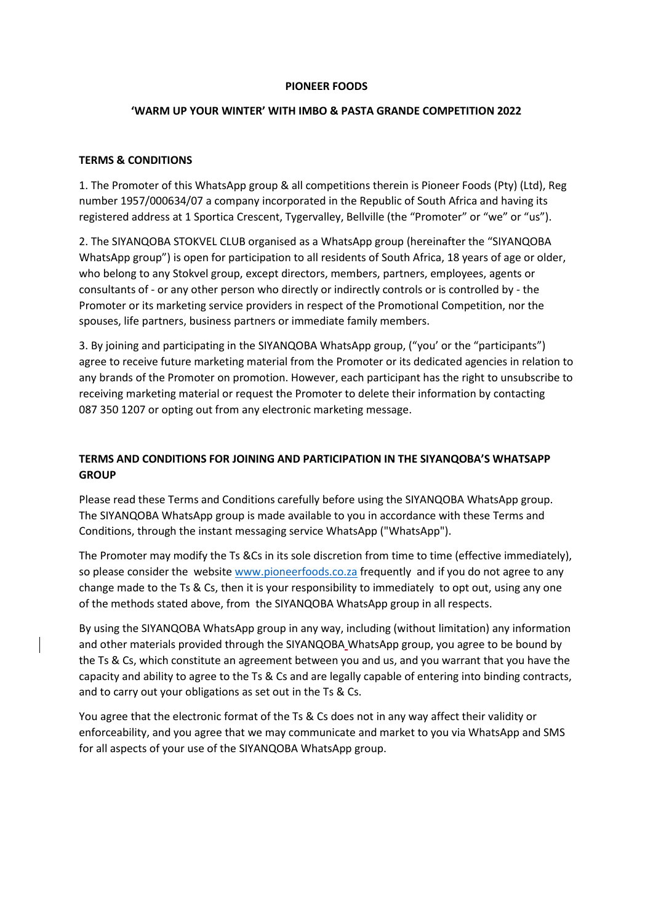#### **PIONEER FOODS**

# **'WARM UP YOUR WINTER' WITH IMBO & PASTA GRANDE COMPETITION 2022**

## **TERMS & CONDITIONS**

1. The Promoter of this WhatsApp group & all competitions therein is Pioneer Foods (Pty) (Ltd), Reg number 1957/000634/07 a company incorporated in the Republic of South Africa and having its registered address at 1 Sportica Crescent, Tygervalley, Bellville (the "Promoter" or "we" or "us").

2. The SIYANQOBA STOKVEL CLUB organised as a WhatsApp group (hereinafter the "SIYANQOBA WhatsApp group") is open for participation to all residents of South Africa, 18 years of age or older, who belong to any Stokvel group, except directors, members, partners, employees, agents or consultants of - or any other person who directly or indirectly controls or is controlled by - the Promoter or its marketing service providers in respect of the Promotional Competition, nor the spouses, life partners, business partners or immediate family members.

3. By joining and participating in the SIYANQOBA WhatsApp group, ("you' or the "participants") agree to receive future marketing material from the Promoter or its dedicated agencies in relation to any brands of the Promoter on promotion. However, each participant has the right to unsubscribe to receiving marketing material or request the Promoter to delete their information by contacting 087 350 1207 or opting out from any electronic marketing message.

# **TERMS AND CONDITIONS FOR JOINING AND PARTICIPATION IN THE SIYANQOBA'S WHATSAPP GROUP**

Please read these Terms and Conditions carefully before using the SIYANQOBA WhatsApp group. The SIYANQOBA WhatsApp group is made available to you in accordance with these Terms and Conditions, through the instant messaging service WhatsApp ("WhatsApp").

The Promoter may modify the Ts &Cs in its sole discretion from time to time (effective immediately), so please consider the website [www.pioneerfoods.co.za](http://www.pioneerfoods.co.za/) frequently and if you do not agree to any change made to the Ts & Cs, then it is your responsibility to immediately to opt out, using any one of the methods stated above, from the SIYANQOBA WhatsApp group in all respects.

By using the SIYANQOBA WhatsApp group in any way, including (without limitation) any information and other materials provided through the SIYANQOBA WhatsApp group, you agree to be bound by the Ts & Cs, which constitute an agreement between you and us, and you warrant that you have the capacity and ability to agree to the Ts & Cs and are legally capable of entering into binding contracts, and to carry out your obligations as set out in the Ts & Cs.

You agree that the electronic format of the Ts & Cs does not in any way affect their validity or enforceability, and you agree that we may communicate and market to you via WhatsApp and SMS for all aspects of your use of the SIYANQOBA WhatsApp group.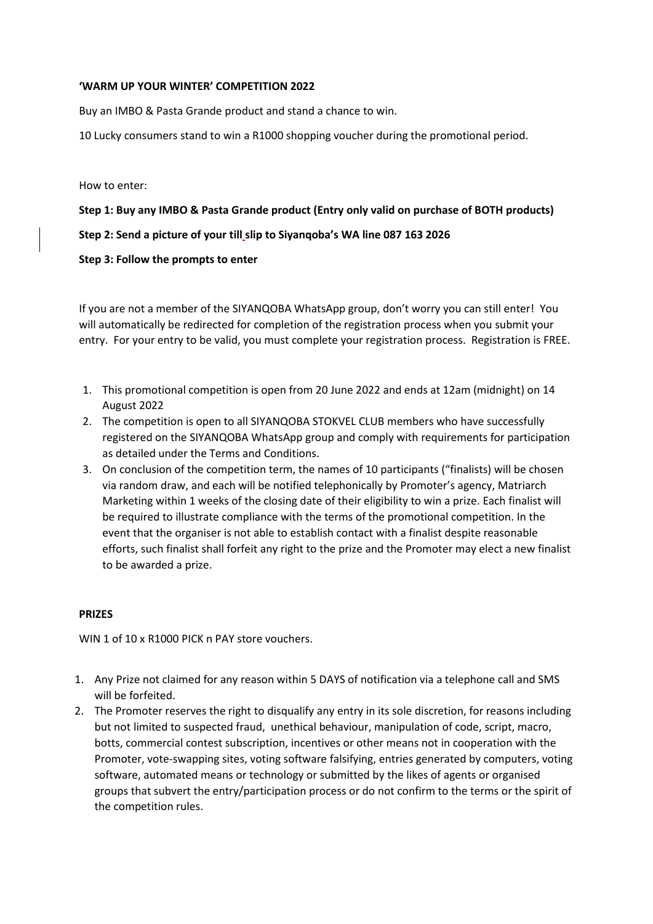### **'WARM UP YOUR WINTER' COMPETITION 2022**

Buy an IMBO & Pasta Grande product and stand a chance to win.

10 Lucky consumers stand to win a R1000 shopping voucher during the promotional period.

How to enter:

**Step 1: Buy any IMBO & Pasta Grande product (Entry only valid on purchase of BOTH products)**

**Step 2: Send a picture of your till slip to Siyanqoba's WA line 087 163 2026**

### **Step 3: Follow the prompts to enter**

If you are not a member of the SIYANQOBA WhatsApp group, don't worry you can still enter! You will automatically be redirected for completion of the registration process when you submit your entry. For your entry to be valid, you must complete your registration process. Registration is FREE.

- 1. This promotional competition is open from 20 June 2022 and ends at 12am (midnight) on 14 August 2022
- 2. The competition is open to all SIYANQOBA STOKVEL CLUB members who have successfully registered on the SIYANQOBA WhatsApp group and comply with requirements for participation as detailed under the Terms and Conditions.
- 3. On conclusion of the competition term, the names of 10 participants ("finalists) will be chosen via random draw, and each will be notified telephonically by Promoter's agency, Matriarch Marketing within 1 weeks of the closing date of their eligibility to win a prize. Each finalist will be required to illustrate compliance with the terms of the promotional competition. In the event that the organiser is not able to establish contact with a finalist despite reasonable efforts, such finalist shall forfeit any right to the prize and the Promoter may elect a new finalist to be awarded a prize.

### **PRIZES**

WIN 1 of 10 x R1000 PICK n PAY store vouchers.

- 1. Any Prize not claimed for any reason within 5 DAYS of notification via a telephone call and SMS will be forfeited.
- 2. The Promoter reserves the right to disqualify any entry in its sole discretion, for reasons including but not limited to suspected fraud, unethical behaviour, manipulation of code, script, macro, botts, commercial contest subscription, incentives or other means not in cooperation with the Promoter, vote-swapping sites, voting software falsifying, entries generated by computers, voting software, automated means or technology or submitted by the likes of agents or organised groups that subvert the entry/participation process or do not confirm to the terms or the spirit of the competition rules.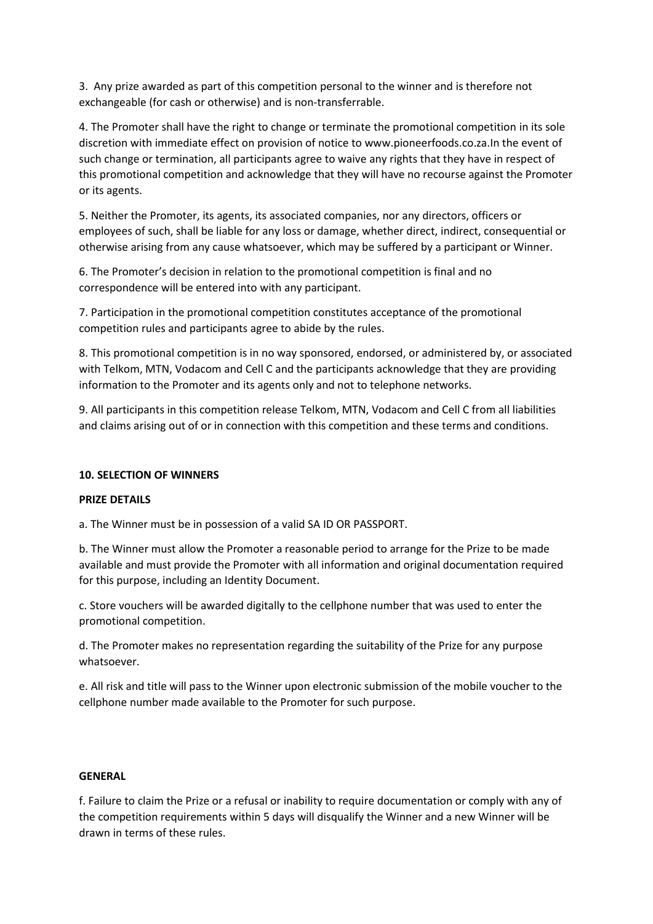3. Any prize awarded as part of this competition personal to the winner and is therefore not exchangeable (for cash or otherwise) and is non-transferrable.

4. The Promoter shall have the right to change or terminate the promotional competition in its sole discretion with immediate effect on provision of notice to www.pioneerfoods.co.za.In the event of such change or termination, all participants agree to waive any rights that they have in respect of this promotional competition and acknowledge that they will have no recourse against the Promoter or its agents.

5. Neither the Promoter, its agents, its associated companies, nor any directors, officers or employees of such, shall be liable for any loss or damage, whether direct, indirect, consequential or otherwise arising from any cause whatsoever, which may be suffered by a participant or Winner.

6. The Promoter's decision in relation to the promotional competition is final and no correspondence will be entered into with any participant.

7. Participation in the promotional competition constitutes acceptance of the promotional competition rules and participants agree to abide by the rules.

8. This promotional competition is in no way sponsored, endorsed, or administered by, or associated with Telkom, MTN, Vodacom and Cell C and the participants acknowledge that they are providing information to the Promoter and its agents only and not to telephone networks.

9. All participants in this competition release Telkom, MTN, Vodacom and Cell C from all liabilities and claims arising out of or in connection with this competition and these terms and conditions.

### **10. SELECTION OF WINNERS**

#### **PRIZE DETAILS**

a. The Winner must be in possession of a valid SA ID OR PASSPORT.

b. The Winner must allow the Promoter a reasonable period to arrange for the Prize to be made available and must provide the Promoter with all information and original documentation required for this purpose, including an Identity Document.

c. Store vouchers will be awarded digitally to the cellphone number that was used to enter the promotional competition.

d. The Promoter makes no representation regarding the suitability of the Prize for any purpose whatsoever.

e. All risk and title will pass to the Winner upon electronic submission of the mobile voucher to the cellphone number made available to the Promoter for such purpose.

#### **GENERAL**

f. Failure to claim the Prize or a refusal or inability to require documentation or comply with any of the competition requirements within 5 days will disqualify the Winner and a new Winner will be drawn in terms of these rules.